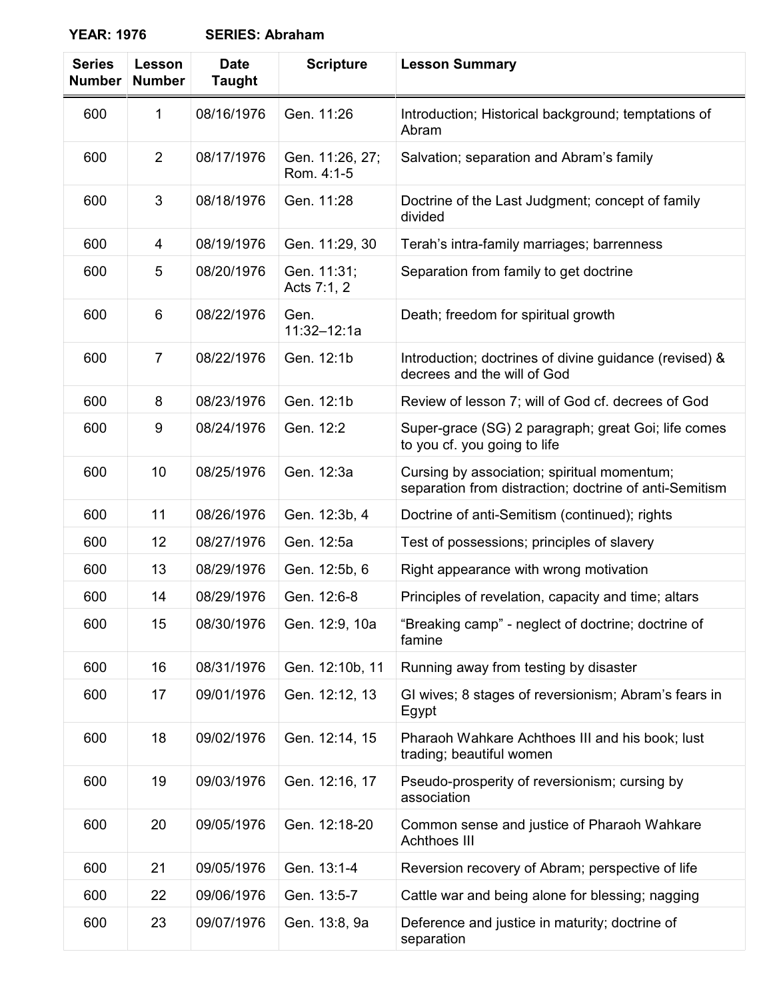| <b>Series</b><br><b>Number</b> | Lesson<br><b>Number</b> | <b>Date</b><br><b>Taught</b> | <b>Scripture</b>              | <b>Lesson Summary</b>                                                                                 |
|--------------------------------|-------------------------|------------------------------|-------------------------------|-------------------------------------------------------------------------------------------------------|
| 600                            | 1                       | 08/16/1976                   | Gen. 11:26                    | Introduction; Historical background; temptations of<br>Abram                                          |
| 600                            | $\overline{2}$          | 08/17/1976                   | Gen. 11:26, 27;<br>Rom. 4:1-5 | Salvation; separation and Abram's family                                                              |
| 600                            | 3                       | 08/18/1976                   | Gen. 11:28                    | Doctrine of the Last Judgment; concept of family<br>divided                                           |
| 600                            | 4                       | 08/19/1976                   | Gen. 11:29, 30                | Terah's intra-family marriages; barrenness                                                            |
| 600                            | 5                       | 08/20/1976                   | Gen. 11:31;<br>Acts 7:1, 2    | Separation from family to get doctrine                                                                |
| 600                            | 6                       | 08/22/1976                   | Gen.<br>11:32-12:1a           | Death; freedom for spiritual growth                                                                   |
| 600                            | $\overline{7}$          | 08/22/1976                   | Gen. 12:1b                    | Introduction; doctrines of divine guidance (revised) &<br>decrees and the will of God                 |
| 600                            | 8                       | 08/23/1976                   | Gen. 12:1b                    | Review of lesson 7; will of God cf. decrees of God                                                    |
| 600                            | 9                       | 08/24/1976                   | Gen. 12:2                     | Super-grace (SG) 2 paragraph; great Goi; life comes<br>to you cf. you going to life                   |
| 600                            | 10                      | 08/25/1976                   | Gen. 12:3a                    | Cursing by association; spiritual momentum;<br>separation from distraction; doctrine of anti-Semitism |
| 600                            | 11                      | 08/26/1976                   | Gen. 12:3b, 4                 | Doctrine of anti-Semitism (continued); rights                                                         |
| 600                            | 12                      | 08/27/1976                   | Gen. 12:5a                    | Test of possessions; principles of slavery                                                            |
| 600                            | 13                      | 08/29/1976                   | Gen. 12:5b, 6                 | Right appearance with wrong motivation                                                                |
| 600                            | 14                      | 08/29/1976                   | Gen. 12:6-8                   | Principles of revelation, capacity and time; altars                                                   |
| 600                            | 15                      | 08/30/1976                   | Gen. 12:9, 10a                | "Breaking camp" - neglect of doctrine; doctrine of<br>famine                                          |
| 600                            | 16                      | 08/31/1976                   | Gen. 12:10b, 11               | Running away from testing by disaster                                                                 |
| 600                            | 17                      | 09/01/1976                   | Gen. 12:12, 13                | GI wives; 8 stages of reversionism; Abram's fears in<br>Egypt                                         |
| 600                            | 18                      | 09/02/1976                   | Gen. 12:14, 15                | Pharaoh Wahkare Achthoes III and his book; lust<br>trading; beautiful women                           |
| 600                            | 19                      | 09/03/1976                   | Gen. 12:16, 17                | Pseudo-prosperity of reversionism; cursing by<br>association                                          |
| 600                            | 20                      | 09/05/1976                   | Gen. 12:18-20                 | Common sense and justice of Pharaoh Wahkare<br><b>Achthoes III</b>                                    |
| 600                            | 21                      | 09/05/1976                   | Gen. 13:1-4                   | Reversion recovery of Abram; perspective of life                                                      |
| 600                            | 22                      | 09/06/1976                   | Gen. 13:5-7                   | Cattle war and being alone for blessing; nagging                                                      |
| 600                            | 23                      | 09/07/1976                   | Gen. 13:8, 9a                 | Deference and justice in maturity; doctrine of<br>separation                                          |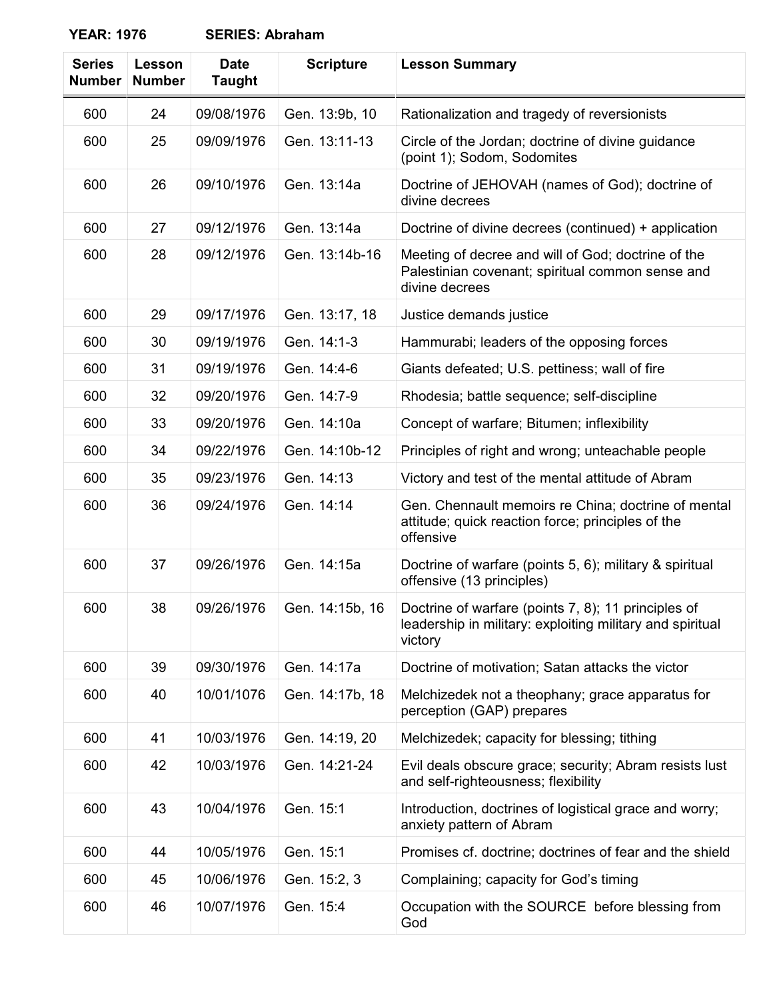| <b>Series</b><br><b>Number</b> | Lesson<br><b>Number</b> | <b>Date</b><br><b>Taught</b> | <b>Scripture</b> | <b>Lesson Summary</b>                                                                                                       |
|--------------------------------|-------------------------|------------------------------|------------------|-----------------------------------------------------------------------------------------------------------------------------|
| 600                            | 24                      | 09/08/1976                   | Gen. 13:9b, 10   | Rationalization and tragedy of reversionists                                                                                |
| 600                            | 25                      | 09/09/1976                   | Gen. 13:11-13    | Circle of the Jordan; doctrine of divine guidance<br>(point 1); Sodom, Sodomites                                            |
| 600                            | 26                      | 09/10/1976                   | Gen. 13:14a      | Doctrine of JEHOVAH (names of God); doctrine of<br>divine decrees                                                           |
| 600                            | 27                      | 09/12/1976                   | Gen. 13:14a      | Doctrine of divine decrees (continued) + application                                                                        |
| 600                            | 28                      | 09/12/1976                   | Gen. 13:14b-16   | Meeting of decree and will of God; doctrine of the<br>Palestinian covenant; spiritual common sense and<br>divine decrees    |
| 600                            | 29                      | 09/17/1976                   | Gen. 13:17, 18   | Justice demands justice                                                                                                     |
| 600                            | 30                      | 09/19/1976                   | Gen. 14:1-3      | Hammurabi; leaders of the opposing forces                                                                                   |
| 600                            | 31                      | 09/19/1976                   | Gen. 14:4-6      | Giants defeated; U.S. pettiness; wall of fire                                                                               |
| 600                            | 32                      | 09/20/1976                   | Gen. 14:7-9      | Rhodesia; battle sequence; self-discipline                                                                                  |
| 600                            | 33                      | 09/20/1976                   | Gen. 14:10a      | Concept of warfare; Bitumen; inflexibility                                                                                  |
| 600                            | 34                      | 09/22/1976                   | Gen. 14:10b-12   | Principles of right and wrong; unteachable people                                                                           |
| 600                            | 35                      | 09/23/1976                   | Gen. 14:13       | Victory and test of the mental attitude of Abram                                                                            |
| 600                            | 36                      | 09/24/1976                   | Gen. 14:14       | Gen. Chennault memoirs re China; doctrine of mental<br>attitude; quick reaction force; principles of the<br>offensive       |
| 600                            | 37                      | 09/26/1976                   | Gen. 14:15a      | Doctrine of warfare (points 5, 6); military & spiritual<br>offensive (13 principles)                                        |
| 600                            | 38                      | 09/26/1976                   | Gen. 14:15b, 16  | Doctrine of warfare (points 7, 8); 11 principles of<br>leadership in military: exploiting military and spiritual<br>victory |
| 600                            | 39                      | 09/30/1976                   | Gen. 14:17a      | Doctrine of motivation; Satan attacks the victor                                                                            |
| 600                            | 40                      | 10/01/1076                   | Gen. 14:17b, 18  | Melchizedek not a theophany; grace apparatus for<br>perception (GAP) prepares                                               |
| 600                            | 41                      | 10/03/1976                   | Gen. 14:19, 20   | Melchizedek; capacity for blessing; tithing                                                                                 |
| 600                            | 42                      | 10/03/1976                   | Gen. 14:21-24    | Evil deals obscure grace; security; Abram resists lust<br>and self-righteousness; flexibility                               |
| 600                            | 43                      | 10/04/1976                   | Gen. 15:1        | Introduction, doctrines of logistical grace and worry;<br>anxiety pattern of Abram                                          |
| 600                            | 44                      | 10/05/1976                   | Gen. 15:1        | Promises cf. doctrine; doctrines of fear and the shield                                                                     |
| 600                            | 45                      | 10/06/1976                   | Gen. 15:2, 3     | Complaining; capacity for God's timing                                                                                      |
| 600                            | 46                      | 10/07/1976                   | Gen. 15:4        | Occupation with the SOURCE before blessing from<br>God                                                                      |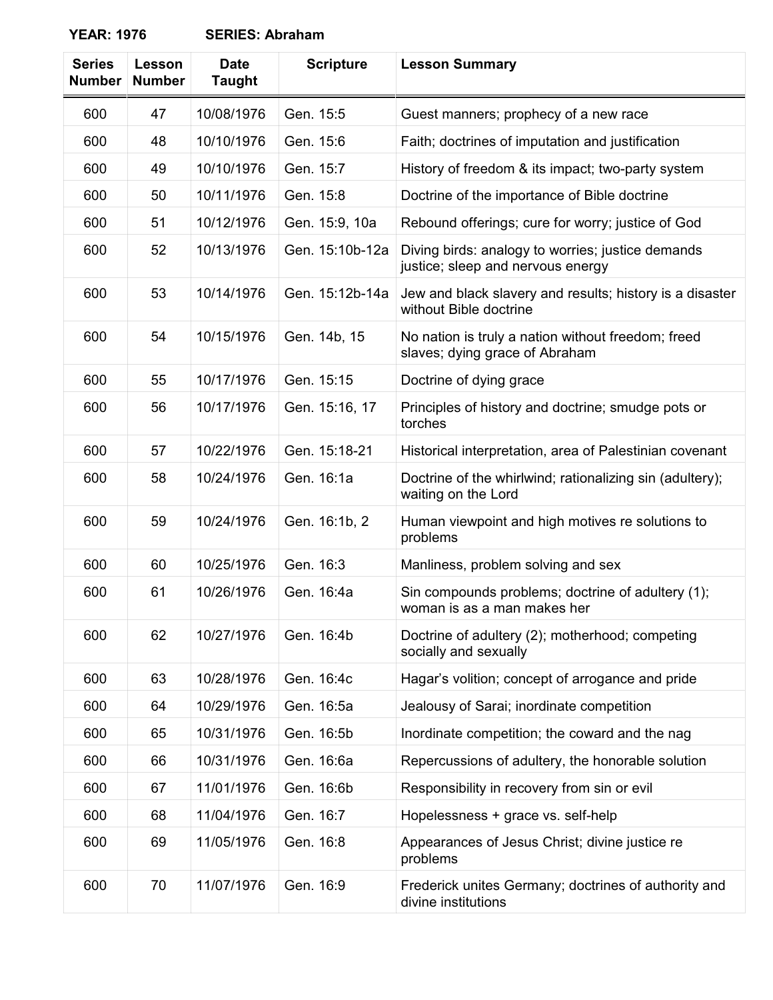| <b>Series</b><br><b>Number</b> | Lesson<br><b>Number</b> | <b>Date</b><br><b>Taught</b> | <b>Scripture</b> | <b>Lesson Summary</b>                                                                  |
|--------------------------------|-------------------------|------------------------------|------------------|----------------------------------------------------------------------------------------|
| 600                            | 47                      | 10/08/1976                   | Gen. 15:5        | Guest manners; prophecy of a new race                                                  |
| 600                            | 48                      | 10/10/1976                   | Gen. 15:6        | Faith; doctrines of imputation and justification                                       |
| 600                            | 49                      | 10/10/1976                   | Gen. 15:7        | History of freedom & its impact; two-party system                                      |
| 600                            | 50                      | 10/11/1976                   | Gen. 15:8        | Doctrine of the importance of Bible doctrine                                           |
| 600                            | 51                      | 10/12/1976                   | Gen. 15:9, 10a   | Rebound offerings; cure for worry; justice of God                                      |
| 600                            | 52                      | 10/13/1976                   | Gen. 15:10b-12a  | Diving birds: analogy to worries; justice demands<br>justice; sleep and nervous energy |
| 600                            | 53                      | 10/14/1976                   | Gen. 15:12b-14a  | Jew and black slavery and results; history is a disaster<br>without Bible doctrine     |
| 600                            | 54                      | 10/15/1976                   | Gen. 14b, 15     | No nation is truly a nation without freedom; freed<br>slaves; dying grace of Abraham   |
| 600                            | 55                      | 10/17/1976                   | Gen. 15:15       | Doctrine of dying grace                                                                |
| 600                            | 56                      | 10/17/1976                   | Gen. 15:16, 17   | Principles of history and doctrine; smudge pots or<br>torches                          |
| 600                            | 57                      | 10/22/1976                   | Gen. 15:18-21    | Historical interpretation, area of Palestinian covenant                                |
| 600                            | 58                      | 10/24/1976                   | Gen. 16:1a       | Doctrine of the whirlwind; rationalizing sin (adultery);<br>waiting on the Lord        |
| 600                            | 59                      | 10/24/1976                   | Gen. 16:1b, 2    | Human viewpoint and high motives re solutions to<br>problems                           |
| 600                            | 60                      | 10/25/1976                   | Gen. 16:3        | Manliness, problem solving and sex                                                     |
| 600                            | 61                      | 10/26/1976                   | Gen. 16:4a       | Sin compounds problems; doctrine of adultery (1);<br>woman is as a man makes her       |
| 600                            | 62                      | 10/27/1976                   | Gen. 16:4b       | Doctrine of adultery (2); motherhood; competing<br>socially and sexually               |
| 600                            | 63                      | 10/28/1976                   | Gen. 16:4c       | Hagar's volition; concept of arrogance and pride                                       |
| 600                            | 64                      | 10/29/1976                   | Gen. 16:5a       | Jealousy of Sarai; inordinate competition                                              |
| 600                            | 65                      | 10/31/1976                   | Gen. 16:5b       | Inordinate competition; the coward and the nag                                         |
| 600                            | 66                      | 10/31/1976                   | Gen. 16:6a       | Repercussions of adultery, the honorable solution                                      |
| 600                            | 67                      | 11/01/1976                   | Gen. 16:6b       | Responsibility in recovery from sin or evil                                            |
| 600                            | 68                      | 11/04/1976                   | Gen. 16:7        | Hopelessness + grace vs. self-help                                                     |
| 600                            | 69                      | 11/05/1976                   | Gen. 16:8        | Appearances of Jesus Christ; divine justice re<br>problems                             |

600 | 70 | 11/07/1976 | Gen. 16:9 | Frederick unites Germany; doctrines of authority and

divine institutions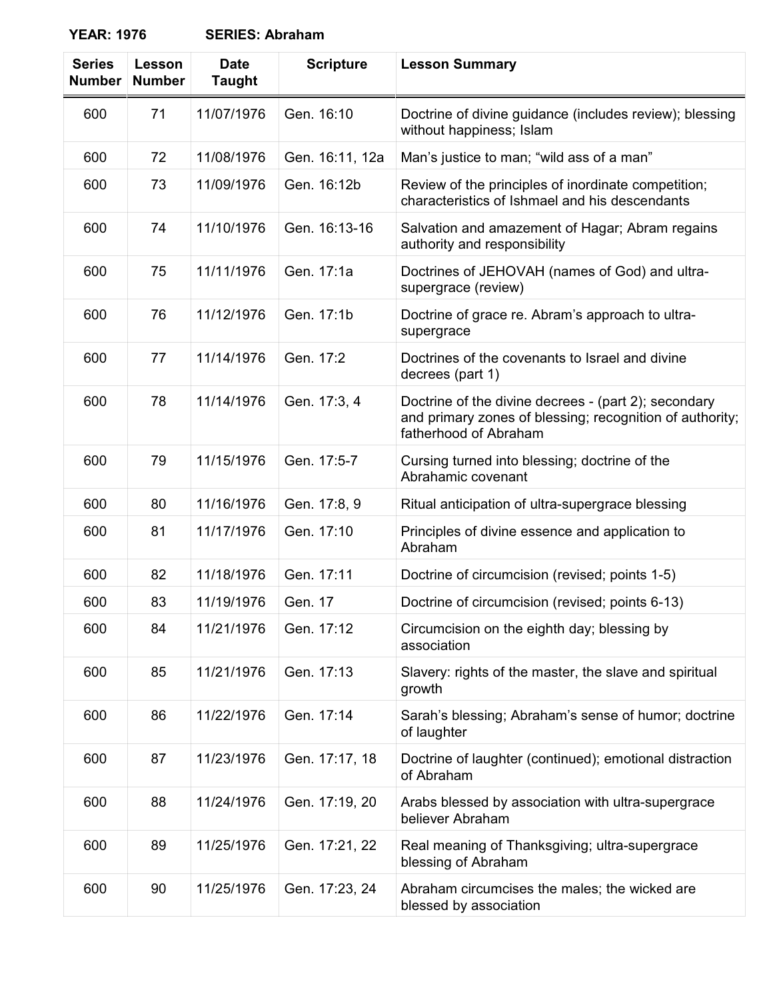| <b>Series</b><br><b>Number</b> | Lesson<br><b>Number</b> | <b>Date</b><br><b>Taught</b> | <b>Scripture</b> | <b>Lesson Summary</b>                                                                                                                     |
|--------------------------------|-------------------------|------------------------------|------------------|-------------------------------------------------------------------------------------------------------------------------------------------|
| 600                            | 71                      | 11/07/1976                   | Gen. 16:10       | Doctrine of divine guidance (includes review); blessing<br>without happiness; Islam                                                       |
| 600                            | 72                      | 11/08/1976                   | Gen. 16:11, 12a  | Man's justice to man; "wild ass of a man"                                                                                                 |
| 600                            | 73                      | 11/09/1976                   | Gen. 16:12b      | Review of the principles of inordinate competition;<br>characteristics of Ishmael and his descendants                                     |
| 600                            | 74                      | 11/10/1976                   | Gen. 16:13-16    | Salvation and amazement of Hagar; Abram regains<br>authority and responsibility                                                           |
| 600                            | 75                      | 11/11/1976                   | Gen. 17:1a       | Doctrines of JEHOVAH (names of God) and ultra-<br>supergrace (review)                                                                     |
| 600                            | 76                      | 11/12/1976                   | Gen. 17:1b       | Doctrine of grace re. Abram's approach to ultra-<br>supergrace                                                                            |
| 600                            | 77                      | 11/14/1976                   | Gen. 17:2        | Doctrines of the covenants to Israel and divine<br>decrees (part 1)                                                                       |
| 600                            | 78                      | 11/14/1976                   | Gen. 17:3, 4     | Doctrine of the divine decrees - (part 2); secondary<br>and primary zones of blessing; recognition of authority;<br>fatherhood of Abraham |
| 600                            | 79                      | 11/15/1976                   | Gen. 17:5-7      | Cursing turned into blessing; doctrine of the<br>Abrahamic covenant                                                                       |
| 600                            | 80                      | 11/16/1976                   | Gen. 17:8, 9     | Ritual anticipation of ultra-supergrace blessing                                                                                          |
| 600                            | 81                      | 11/17/1976                   | Gen. 17:10       | Principles of divine essence and application to<br>Abraham                                                                                |
| 600                            | 82                      | 11/18/1976                   | Gen. 17:11       | Doctrine of circumcision (revised; points 1-5)                                                                                            |
| 600                            | 83                      | 11/19/1976                   | Gen. 17          | Doctrine of circumcision (revised; points 6-13)                                                                                           |
| 600                            | 84                      | 11/21/1976                   | Gen. 17:12       | Circumcision on the eighth day; blessing by<br>association                                                                                |
| 600                            | 85                      | 11/21/1976                   | Gen. 17:13       | Slavery: rights of the master, the slave and spiritual<br>growth                                                                          |
| 600                            | 86                      | 11/22/1976                   | Gen. 17:14       | Sarah's blessing; Abraham's sense of humor; doctrine<br>of laughter                                                                       |
| 600                            | 87                      | 11/23/1976                   | Gen. 17:17, 18   | Doctrine of laughter (continued); emotional distraction<br>of Abraham                                                                     |
| 600                            | 88                      | 11/24/1976                   | Gen. 17:19, 20   | Arabs blessed by association with ultra-supergrace<br>believer Abraham                                                                    |
| 600                            | 89                      | 11/25/1976                   | Gen. 17:21, 22   | Real meaning of Thanksgiving; ultra-supergrace<br>blessing of Abraham                                                                     |
| 600                            | 90                      | 11/25/1976                   | Gen. 17:23, 24   | Abraham circumcises the males; the wicked are<br>blessed by association                                                                   |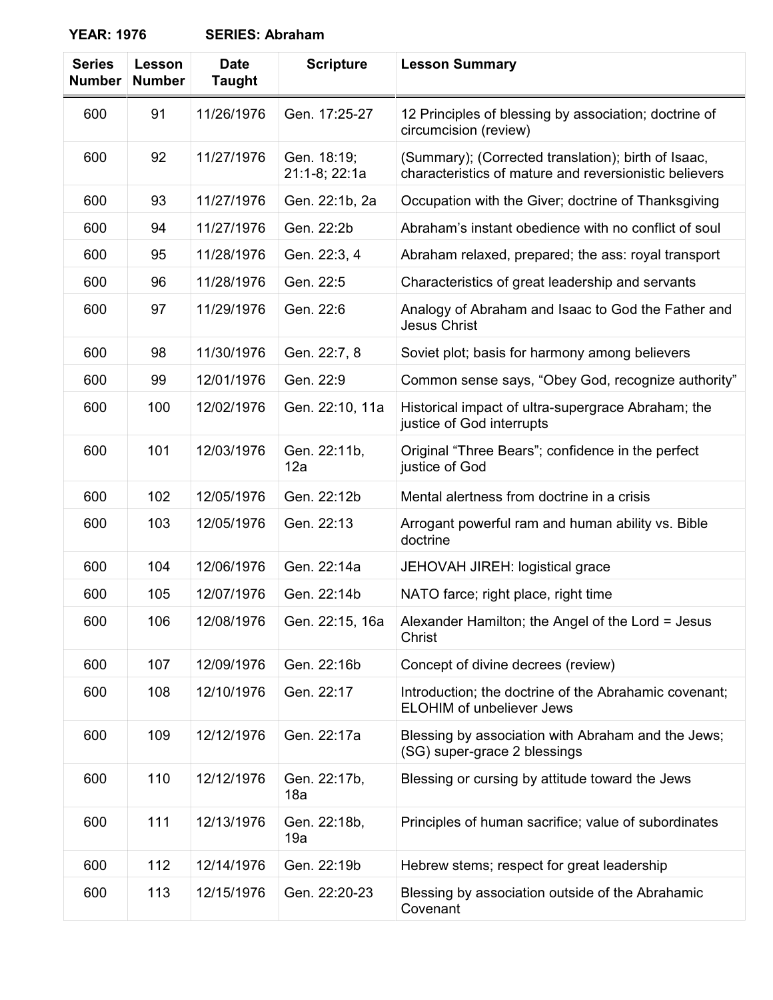| <b>Series</b><br><b>Number</b> | Lesson<br><b>Number</b> | <b>Date</b><br><b>Taught</b> | <b>Scripture</b>             | <b>Lesson Summary</b>                                                                                         |
|--------------------------------|-------------------------|------------------------------|------------------------------|---------------------------------------------------------------------------------------------------------------|
| 600                            | 91                      | 11/26/1976                   | Gen. 17:25-27                | 12 Principles of blessing by association; doctrine of<br>circumcision (review)                                |
| 600                            | 92                      | 11/27/1976                   | Gen. 18:19;<br>21:1-8; 22:1a | (Summary); (Corrected translation); birth of Isaac,<br>characteristics of mature and reversionistic believers |
| 600                            | 93                      | 11/27/1976                   | Gen. 22:1b, 2a               | Occupation with the Giver; doctrine of Thanksgiving                                                           |
| 600                            | 94                      | 11/27/1976                   | Gen. 22:2b                   | Abraham's instant obedience with no conflict of soul                                                          |
| 600                            | 95                      | 11/28/1976                   | Gen. 22:3, 4                 | Abraham relaxed, prepared; the ass: royal transport                                                           |
| 600                            | 96                      | 11/28/1976                   | Gen. 22:5                    | Characteristics of great leadership and servants                                                              |
| 600                            | 97                      | 11/29/1976                   | Gen. 22:6                    | Analogy of Abraham and Isaac to God the Father and<br><b>Jesus Christ</b>                                     |
| 600                            | 98                      | 11/30/1976                   | Gen. 22:7, 8                 | Soviet plot; basis for harmony among believers                                                                |
| 600                            | 99                      | 12/01/1976                   | Gen. 22:9                    | Common sense says, "Obey God, recognize authority"                                                            |
| 600                            | 100                     | 12/02/1976                   | Gen. 22:10, 11a              | Historical impact of ultra-supergrace Abraham; the<br>justice of God interrupts                               |
| 600                            | 101                     | 12/03/1976                   | Gen. 22:11b,<br>12a          | Original "Three Bears"; confidence in the perfect<br>justice of God                                           |
| 600                            | 102                     | 12/05/1976                   | Gen. 22:12b                  | Mental alertness from doctrine in a crisis                                                                    |
| 600                            | 103                     | 12/05/1976                   | Gen. 22:13                   | Arrogant powerful ram and human ability vs. Bible<br>doctrine                                                 |
| 600                            | 104                     | 12/06/1976                   | Gen. 22:14a                  | JEHOVAH JIREH: logistical grace                                                                               |
| 600                            | 105                     | 12/07/1976                   | Gen. 22:14b                  | NATO farce; right place, right time                                                                           |
| 600                            | 106                     | 12/08/1976                   | Gen. 22:15, 16a              | Alexander Hamilton; the Angel of the Lord = Jesus<br>Christ                                                   |
| 600                            | 107                     | 12/09/1976                   | Gen. 22:16b                  | Concept of divine decrees (review)                                                                            |
| 600                            | 108                     | 12/10/1976                   | Gen. 22:17                   | Introduction; the doctrine of the Abrahamic covenant;<br><b>ELOHIM of unbeliever Jews</b>                     |
| 600                            | 109                     | 12/12/1976                   | Gen. 22:17a                  | Blessing by association with Abraham and the Jews;<br>(SG) super-grace 2 blessings                            |
| 600                            | 110                     | 12/12/1976                   | Gen. 22:17b,<br>18a          | Blessing or cursing by attitude toward the Jews                                                               |
| 600                            | 111                     | 12/13/1976                   | Gen. 22:18b,<br>19a          | Principles of human sacrifice; value of subordinates                                                          |
| 600                            | 112                     | 12/14/1976                   | Gen. 22:19b                  | Hebrew stems; respect for great leadership                                                                    |
| 600                            | 113                     | 12/15/1976                   | Gen. 22:20-23                | Blessing by association outside of the Abrahamic<br>Covenant                                                  |